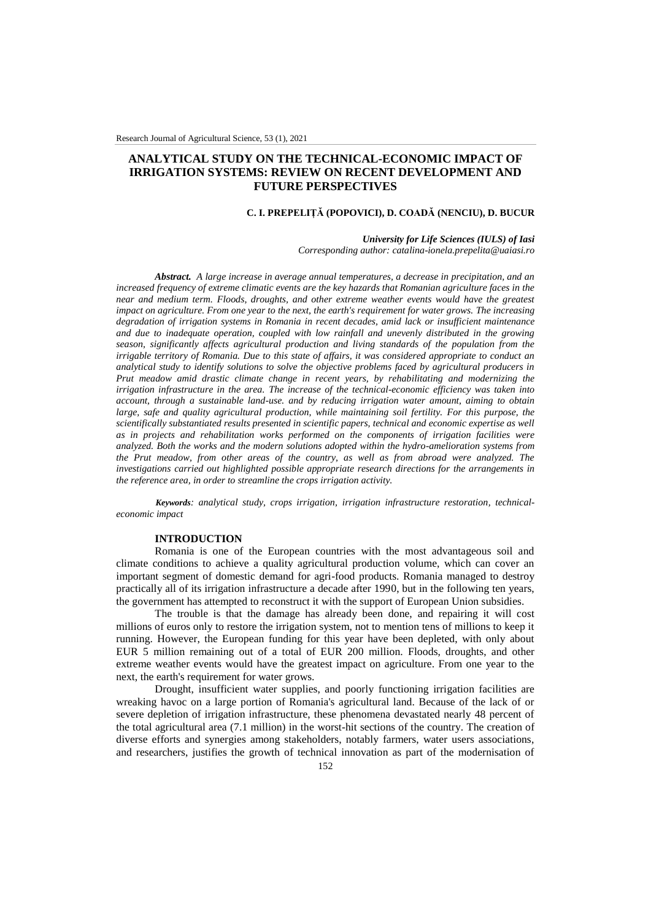# **ANALYTICAL STUDY ON THE TECHNICAL-ECONOMIC IMPACT OF IRRIGATION SYSTEMS: REVIEW ON RECENT DEVELOPMENT AND FUTURE PERSPECTIVES**

## **C. I. PREPELIȚĂ (POPOVICI), D. COADĂ (NENCIU), D. BUCUR**

#### *University for Life Sciences (IULS) of Iasi*

*Corresponding author: catalina-ionela.prepelita@uaiasi.ro*

*Abstract. A large increase in average annual temperatures, a decrease in precipitation, and an increased frequency of extreme climatic events are the key hazards that Romanian agriculture faces in the near and medium term. Floods, droughts, and other extreme weather events would have the greatest impact on agriculture. From one year to the next, the earth's requirement for water grows. The increasing degradation of irrigation systems in Romania in recent decades, amid lack or insufficient maintenance and due to inadequate operation, coupled with low rainfall and unevenly distributed in the growing season, significantly affects agricultural production and living standards of the population from the irrigable territory of Romania. Due to this state of affairs, it was considered appropriate to conduct an analytical study to identify solutions to solve the objective problems faced by agricultural producers in Prut meadow amid drastic climate change in recent years, by rehabilitating and modernizing the irrigation infrastructure in the area. The increase of the technical-economic efficiency was taken into account, through a sustainable land-use. and by reducing irrigation water amount, aiming to obtain large, safe and quality agricultural production, while maintaining soil fertility. For this purpose, the scientifically substantiated results presented in scientific papers, technical and economic expertise as well as in projects and rehabilitation works performed on the components of irrigation facilities were analyzed. Both the works and the modern solutions adopted within the hydro-amelioration systems from the Prut meadow, from other areas of the country, as well as from abroad were analyzed. The investigations carried out highlighted possible appropriate research directions for the arrangements in the reference area, in order to streamline the crops irrigation activity.*

*Keywords: analytical study, crops irrigation, irrigation infrastructure restoration, technicaleconomic impact*

#### **INTRODUCTION**

Romania is one of the European countries with the most advantageous soil and climate conditions to achieve a quality agricultural production volume, which can cover an important segment of domestic demand for agri-food products. Romania managed to destroy practically all of its irrigation infrastructure a decade after 1990, but in the following ten years, the government has attempted to reconstruct it with the support of European Union subsidies.

The trouble is that the damage has already been done, and repairing it will cost millions of euros only to restore the irrigation system, not to mention tens of millions to keep it running. However, the European funding for this year have been depleted, with only about EUR 5 million remaining out of a total of EUR 200 million. Floods, droughts, and other extreme weather events would have the greatest impact on agriculture. From one year to the next, the earth's requirement for water grows.

Drought, insufficient water supplies, and poorly functioning irrigation facilities are wreaking havoc on a large portion of Romania's agricultural land. Because of the lack of or severe depletion of irrigation infrastructure, these phenomena devastated nearly 48 percent of the total agricultural area (7.1 million) in the worst-hit sections of the country. The creation of diverse efforts and synergies among stakeholders, notably farmers, water users associations, and researchers, justifies the growth of technical innovation as part of the modernisation of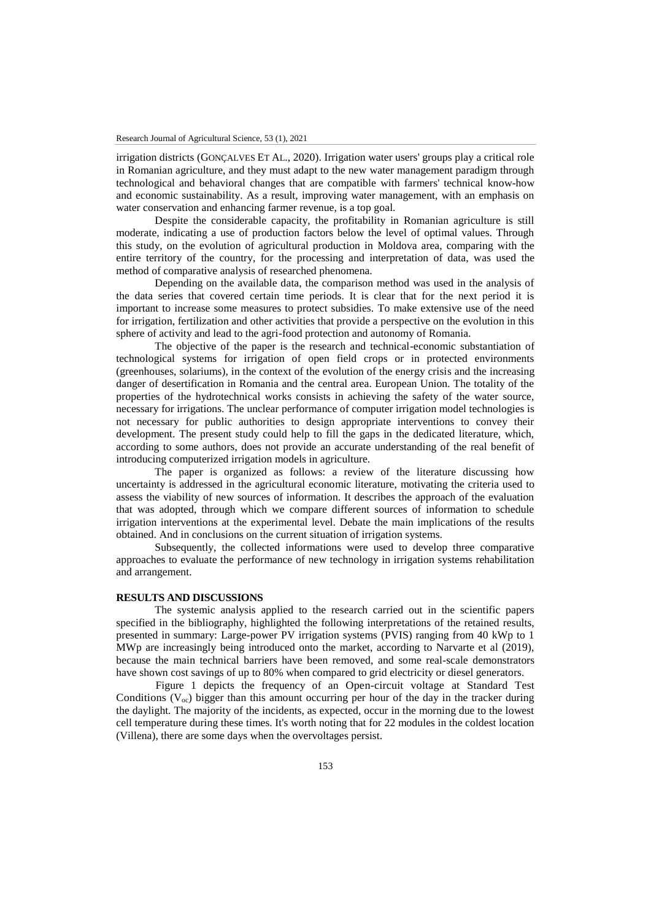irrigation districts (GONÇALVES ET AL., 2020). Irrigation water users' groups play a critical role in Romanian agriculture, and they must adapt to the new water management paradigm through technological and behavioral changes that are compatible with farmers' technical know-how and economic sustainability. As a result, improving water management, with an emphasis on water conservation and enhancing farmer revenue, is a top goal.

Despite the considerable capacity, the profitability in Romanian agriculture is still moderate, indicating a use of production factors below the level of optimal values. Through this study, on the evolution of agricultural production in Moldova area, comparing with the entire territory of the country, for the processing and interpretation of data, was used the method of comparative analysis of researched phenomena.

Depending on the available data, the comparison method was used in the analysis of the data series that covered certain time periods. It is clear that for the next period it is important to increase some measures to protect subsidies. To make extensive use of the need for irrigation, fertilization and other activities that provide a perspective on the evolution in this sphere of activity and lead to the agri-food protection and autonomy of Romania.

The objective of the paper is the research and technical-economic substantiation of technological systems for irrigation of open field crops or in protected environments (greenhouses, solariums), in the context of the evolution of the energy crisis and the increasing danger of desertification in Romania and the central area. European Union. The totality of the properties of the hydrotechnical works consists in achieving the safety of the water source, necessary for irrigations. The unclear performance of computer irrigation model technologies is not necessary for public authorities to design appropriate interventions to convey their development. The present study could help to fill the gaps in the dedicated literature, which, according to some authors, does not provide an accurate understanding of the real benefit of introducing computerized irrigation models in agriculture.

The paper is organized as follows: a review of the literature discussing how uncertainty is addressed in the agricultural economic literature, motivating the criteria used to assess the viability of new sources of information. It describes the approach of the evaluation that was adopted, through which we compare different sources of information to schedule irrigation interventions at the experimental level. Debate the main implications of the results obtained. And in conclusions on the current situation of irrigation systems.

Subsequently, the collected informations were used to develop three comparative approaches to evaluate the performance of new technology in irrigation systems rehabilitation and arrangement.

#### **RESULTS AND DISCUSSIONS**

The systemic analysis applied to the research carried out in the scientific papers specified in the bibliography, highlighted the following interpretations of the retained results, presented in summary: Large-power PV irrigation systems (PVIS) ranging from 40 kWp to 1 MWp are increasingly being introduced onto the market, according to Narvarte et al (2019), because the main technical barriers have been removed, and some real-scale demonstrators have shown cost savings of up to 80% when compared to grid electricity or diesel generators.

Figure 1 depicts the frequency of an Open-circuit voltage at Standard Test Conditions  $(V_{\text{oc}})$  bigger than this amount occurring per hour of the day in the tracker during the daylight. The majority of the incidents, as expected, occur in the morning due to the lowest cell temperature during these times. It's worth noting that for 22 modules in the coldest location (Villena), there are some days when the overvoltages persist.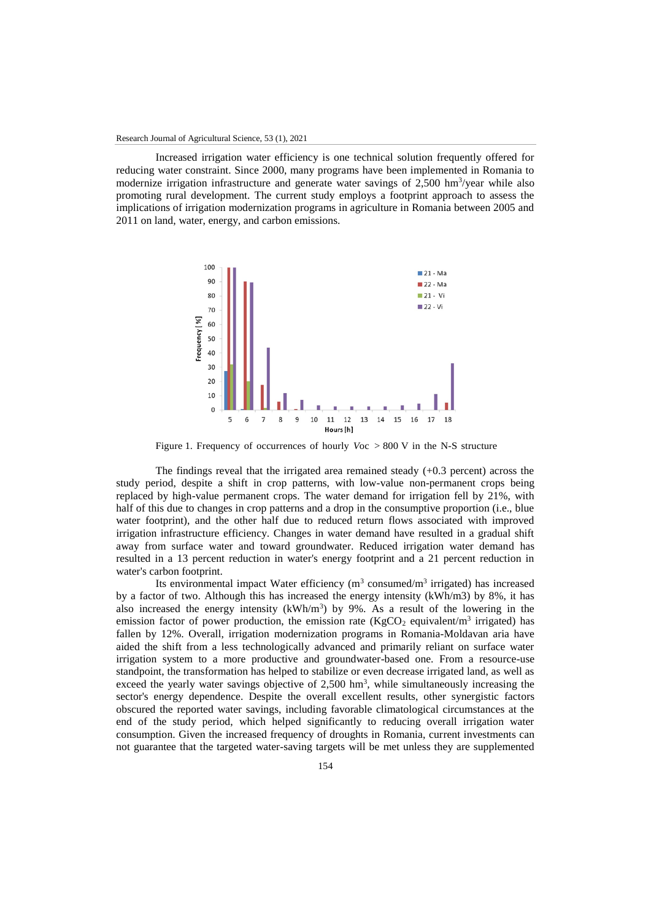Increased irrigation water efficiency is one technical solution frequently offered for reducing water constraint. Since 2000, many programs have been implemented in Romania to modernize irrigation infrastructure and generate water savings of 2,500 hm<sup>3</sup>/year while also promoting rural development. The current study employs a footprint approach to assess the implications of irrigation modernization programs in agriculture in Romania between 2005 and 2011 on land, water, energy, and carbon emissions.



Figure 1. Frequency of occurrences of hourly *V*oc > 800 V in the N-S structure

The findings reveal that the irrigated area remained steady (+0.3 percent) across the study period, despite a shift in crop patterns, with low-value non-permanent crops being replaced by high-value permanent crops. The water demand for irrigation fell by 21%, with half of this due to changes in crop patterns and a drop in the consumptive proportion (i.e., blue water footprint), and the other half due to reduced return flows associated with improved irrigation infrastructure efficiency. Changes in water demand have resulted in a gradual shift away from surface water and toward groundwater. Reduced irrigation water demand has resulted in a 13 percent reduction in water's energy footprint and a 21 percent reduction in water's carbon footprint.

Its environmental impact Water efficiency ( $m<sup>3</sup>$  consumed/ $m<sup>3</sup>$  irrigated) has increased by a factor of two. Although this has increased the energy intensity (kWh/m3) by 8%, it has also increased the energy intensity  $(kWh/m<sup>3</sup>)$  by 9%. As a result of the lowering in the emission factor of power production, the emission rate  $(KgCO<sub>2</sub>$  equivalent/m<sup>3</sup> irrigated) has fallen by 12%. Overall, irrigation modernization programs in Romania-Moldavan aria have aided the shift from a less technologically advanced and primarily reliant on surface water irrigation system to a more productive and groundwater-based one. From a resource-use standpoint, the transformation has helped to stabilize or even decrease irrigated land, as well as exceed the yearly water savings objective of  $2,500 \text{ hm}^3$ , while simultaneously increasing the sector's energy dependence. Despite the overall excellent results, other synergistic factors obscured the reported water savings, including favorable climatological circumstances at the end of the study period, which helped significantly to reducing overall irrigation water consumption. Given the increased frequency of droughts in Romania, current investments can not guarantee that the targeted water-saving targets will be met unless they are supplemented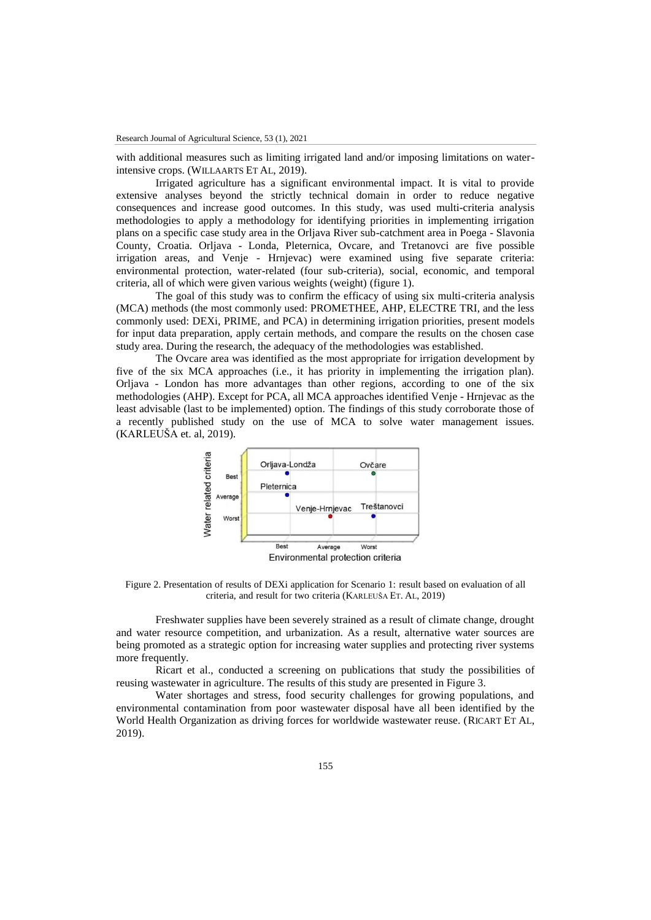with additional measures such as limiting irrigated land and/or imposing limitations on waterintensive crops. (WILLAARTS ET AL, 2019).

Irrigated agriculture has a significant environmental impact. It is vital to provide extensive analyses beyond the strictly technical domain in order to reduce negative consequences and increase good outcomes. In this study, was used multi-criteria analysis methodologies to apply a methodology for identifying priorities in implementing irrigation plans on a specific case study area in the Orljava River sub-catchment area in Poega - Slavonia County, Croatia. Orljava - Londa, Pleternica, Ovcare, and Tretanovci are five possible irrigation areas, and Venje - Hrnjevac) were examined using five separate criteria: environmental protection, water-related (four sub-criteria), social, economic, and temporal criteria, all of which were given various weights (weight) (figure 1).

The goal of this study was to confirm the efficacy of using six multi-criteria analysis (MCA) methods (the most commonly used: PROMETHEE, AHP, ELECTRE TRI, and the less commonly used: DEXi, PRIME, and PCA) in determining irrigation priorities, present models for input data preparation, apply certain methods, and compare the results on the chosen case study area. During the research, the adequacy of the methodologies was established.

The Ovcare area was identified as the most appropriate for irrigation development by five of the six MCA approaches (i.e., it has priority in implementing the irrigation plan). Orljava - London has more advantages than other regions, according to one of the six methodologies (AHP). Except for PCA, all MCA approaches identified Venje - Hrnjevac as the least advisable (last to be implemented) option. The findings of this study corroborate those of a recently published study on the use of MCA to solve water management issues. (KARLEUŠA et. al, 2019).



Figure 2. Presentation of results of DEXi application for Scenario 1: result based on evaluation of all criteria, and result for two criteria (KARLEUŠA ET. AL, 2019)

Freshwater supplies have been severely strained as a result of climate change, drought and water resource competition, and urbanization. As a result, alternative water sources are being promoted as a strategic option for increasing water supplies and protecting river systems more frequently.

Ricart et al., conducted a screening on publications that study the possibilities of reusing wastewater in agriculture. The results of this study are presented in Figure 3.

Water shortages and stress, food security challenges for growing populations, and environmental contamination from poor wastewater disposal have all been identified by the World Health Organization as driving forces for worldwide wastewater reuse. (RICART ET AL, 2019).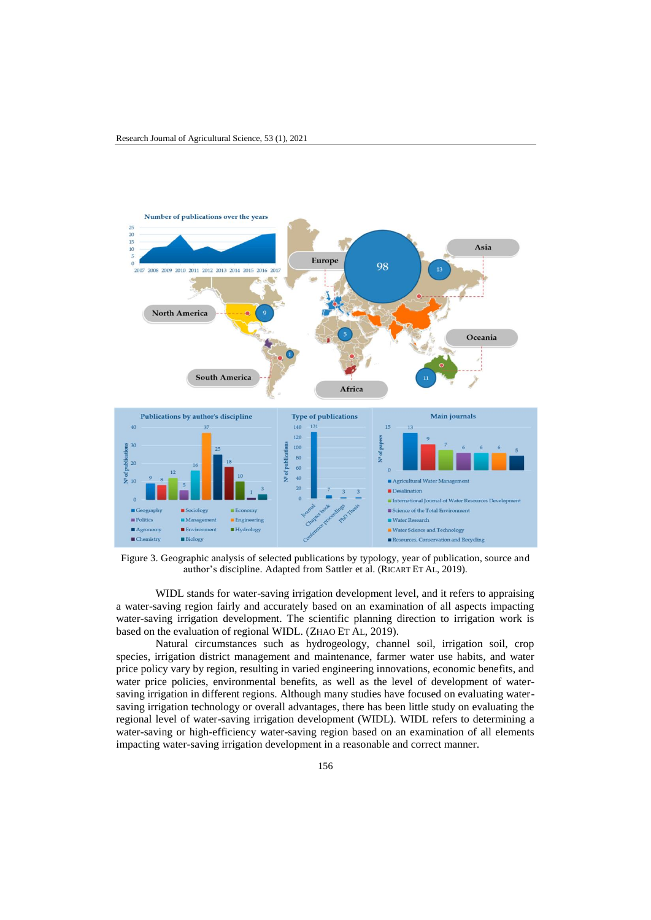

Figure 3. Geographic analysis of selected publications by typology, year of publication, source and author's discipline. Adapted from Sattler et al. (RICART ET AL, 2019).

WIDL stands for water-saving irrigation development level, and it refers to appraising a water-saving region fairly and accurately based on an examination of all aspects impacting water-saving irrigation development. The scientific planning direction to irrigation work is based on the evaluation of regional WIDL. (ZHAO ET AL, 2019).

Natural circumstances such as hydrogeology, channel soil, irrigation soil, crop species, irrigation district management and maintenance, farmer water use habits, and water price policy vary by region, resulting in varied engineering innovations, economic benefits, and water price policies, environmental benefits, as well as the level of development of watersaving irrigation in different regions. Although many studies have focused on evaluating watersaving irrigation technology or overall advantages, there has been little study on evaluating the regional level of water-saving irrigation development (WIDL). WIDL refers to determining a water-saving or high-efficiency water-saving region based on an examination of all elements impacting water-saving irrigation development in a reasonable and correct manner.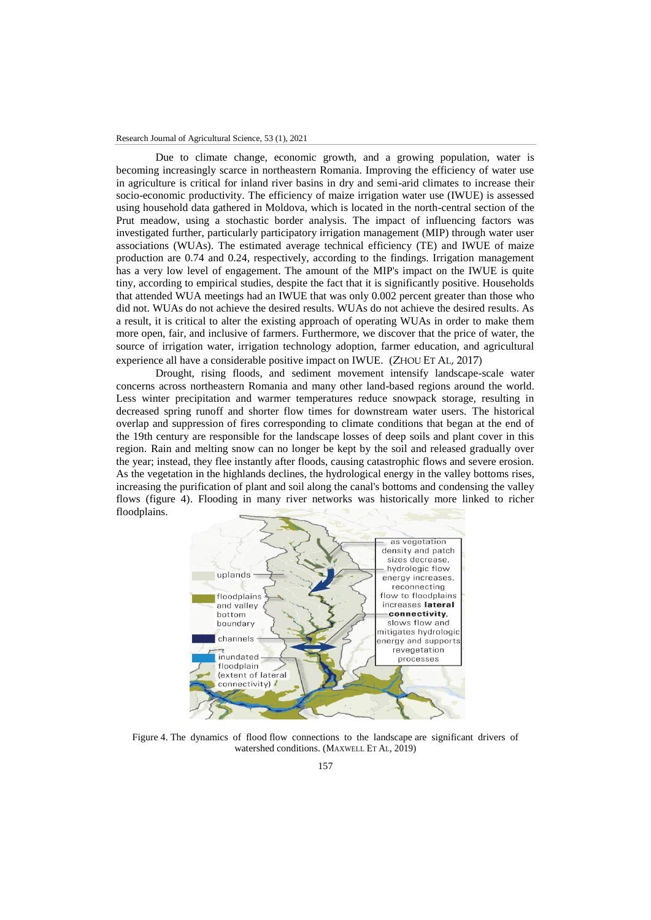Due to climate change, economic growth, and a growing population, water is becoming increasingly scarce in northeastern Romania. Improving the efficiency of water use in agriculture is critical for inland river basins in dry and semi-arid climates to increase their socio-economic productivity. The efficiency of maize irrigation water use (IWUE) is assessed using household data gathered in Moldova, which is located in the north-central section of the Prut meadow, using a stochastic border analysis. The impact of influencing factors was investigated further, particularly participatory irrigation management (MIP) through water user associations (WUAs). The estimated average technical efficiency (TE) and IWUE of maize production are 0.74 and 0.24, respectively, according to the findings. Irrigation management has a very low level of engagement. The amount of the MIP's impact on the IWUE is quite tiny, according to empirical studies, despite the fact that it is significantly positive. Households that attended WUA meetings had an IWUE that was only 0.002 percent greater than those who did not. WUAs do not achieve the desired results. WUAs do not achieve the desired results. As a result, it is critical to alter the existing approach of operating WUAs in order to make them more open, fair, and inclusive of farmers. Furthermore, we discover that the price of water, the source of irrigation water, irrigation technology adoption, farmer education, and agricultural experience all have a considerable positive impact on IWUE. (ZHOU ET AL, 2017)

Drought, rising floods, and sediment movement intensify landscape-scale water concerns across northeastern Romania and many other land-based regions around the world. Less winter precipitation and warmer temperatures reduce snowpack storage, resulting in decreased spring runoff and shorter flow times for downstream water users. The historical overlap and suppression of fires corresponding to climate conditions that began at the end of the 19th century are responsible for the landscape losses of deep soils and plant cover in this region. Rain and melting snow can no longer be kept by the soil and released gradually over the year; instead, they flee instantly after floods, causing catastrophic flows and severe erosion. As the vegetation in the highlands declines, the hydrological energy in the valley bottoms rises, increasing the purification of plant and soil along the canal's bottoms and condensing the valley flows (figure 4). Flooding in many river networks was historically more linked to richer floodplains.



Figure 4. The dynamics of flood flow connections to the landscape are significant drivers of watershed conditions. (MAXWELL ET AL, 2019)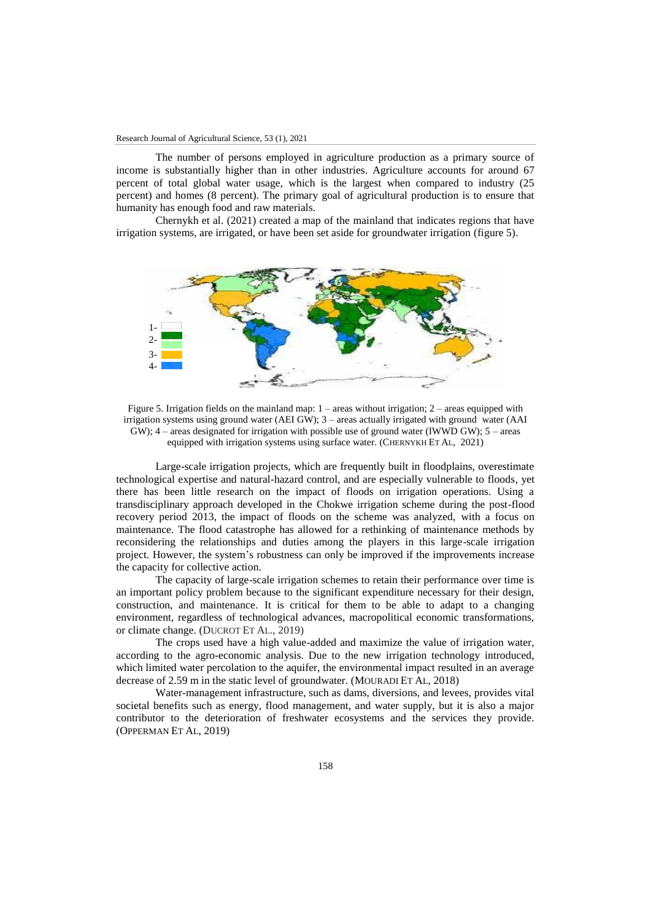The number of persons employed in agriculture production as a primary source of income is substantially higher than in other industries. Agriculture accounts for around 67 percent of total global water usage, which is the largest when compared to industry (25 percent) and homes (8 percent). The primary goal of agricultural production is to ensure that humanity has enough food and raw materials.

Chernykh et al. (2021) created a map of the mainland that indicates regions that have irrigation systems, are irrigated, or have been set aside for groundwater irrigation (figure 5).



Figure 5. Irrigation fields on the mainland map:  $1 -$  areas without irrigation;  $2 -$  areas equipped with irrigation systems using ground water (AEI GW); 3 – areas actually irrigated with ground water (AAI  $GW$ ;  $4$  – areas designated for irrigation with possible use of ground water (IWWD GW);  $5$  – areas equipped with irrigation systems using surface water. (CHERNYKH ET AL, 2021)

Large-scale irrigation projects, which are frequently built in floodplains, overestimate technological expertise and natural-hazard control, and are especially vulnerable to floods, yet there has been little research on the impact of floods on irrigation operations. Using a transdisciplinary approach developed in the Chokwe irrigation scheme during the post-flood recovery period 2013, the impact of floods on the scheme was analyzed, with a focus on maintenance. The flood catastrophe has allowed for a rethinking of maintenance methods by reconsidering the relationships and duties among the players in this large-scale irrigation project. However, the system's robustness can only be improved if the improvements increase the capacity for collective action.

The capacity of large-scale irrigation schemes to retain their performance over time is an important policy problem because to the significant expenditure necessary for their design, construction, and maintenance. It is critical for them to be able to adapt to a changing environment, regardless of technological advances, macropolitical economic transformations, or climate change. (DUCROT ET AL., 2019)

The crops used have a high value-added and maximize the value of irrigation water, according to the agro-economic analysis. Due to the new irrigation technology introduced, which limited water percolation to the aquifer, the environmental impact resulted in an average decrease of 2.59 m in the static level of groundwater. (MOURADI ET AL, 2018)

Water-management infrastructure, such as dams, diversions, and levees, provides vital societal benefits such as energy, flood management, and water supply, but it is also a major contributor to the deterioration of freshwater ecosystems and the services they provide. (OPPERMAN ET AL, 2019)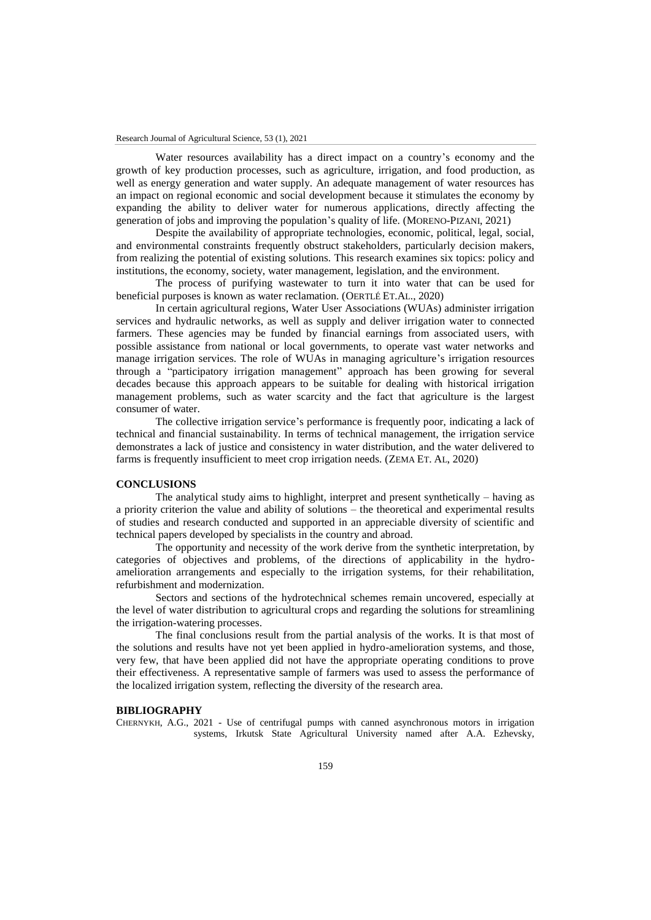Water resources availability has a direct impact on a country's economy and the growth of key production processes, such as agriculture, irrigation, and food production, as well as energy generation and water supply. An adequate management of water resources has an impact on regional economic and social development because it stimulates the economy by expanding the ability to deliver water for numerous applications, directly affecting the generation of jobs and improving the population's quality of life. (MORENO-PIZANI, 2021)

Despite the availability of appropriate technologies, economic, political, legal, social, and environmental constraints frequently obstruct stakeholders, particularly decision makers, from realizing the potential of existing solutions. This research examines six topics: policy and institutions, the economy, society, water management, legislation, and the environment.

The process of purifying wastewater to turn it into water that can be used for beneficial purposes is known as water reclamation. (OERTLÉ ET.AL., 2020)

In certain agricultural regions, Water User Associations (WUAs) administer irrigation services and hydraulic networks, as well as supply and deliver irrigation water to connected farmers. These agencies may be funded by financial earnings from associated users, with possible assistance from national or local governments, to operate vast water networks and manage irrigation services. The role of WUAs in managing agriculture's irrigation resources through a "participatory irrigation management" approach has been growing for several decades because this approach appears to be suitable for dealing with historical irrigation management problems, such as water scarcity and the fact that agriculture is the largest consumer of water.

The collective irrigation service's performance is frequently poor, indicating a lack of technical and financial sustainability. In terms of technical management, the irrigation service demonstrates a lack of justice and consistency in water distribution, and the water delivered to farms is frequently insufficient to meet crop irrigation needs. (ZEMA ET. AL, 2020)

#### **CONCLUSIONS**

The analytical study aims to highlight, interpret and present synthetically – having as a priority criterion the value and ability of solutions – the theoretical and experimental results of studies and research conducted and supported in an appreciable diversity of scientific and technical papers developed by specialists in the country and abroad.

The opportunity and necessity of the work derive from the synthetic interpretation, by categories of objectives and problems, of the directions of applicability in the hydroamelioration arrangements and especially to the irrigation systems, for their rehabilitation, refurbishment and modernization.

Sectors and sections of the hydrotechnical schemes remain uncovered, especially at the level of water distribution to agricultural crops and regarding the solutions for streamlining the irrigation-watering processes.

The final conclusions result from the partial analysis of the works. It is that most of the solutions and results have not yet been applied in hydro-amelioration systems, and those, very few, that have been applied did not have the appropriate operating conditions to prove their effectiveness. A representative sample of farmers was used to assess the performance of the localized irrigation system, reflecting the diversity of the research area.

### **BIBLIOGRAPHY**

CHERNYKH, A.G., 2021 - Use of centrifugal pumps with canned asynchronous motors in irrigation systems, Irkutsk State Agricultural University named after A.A. Ezhevsky,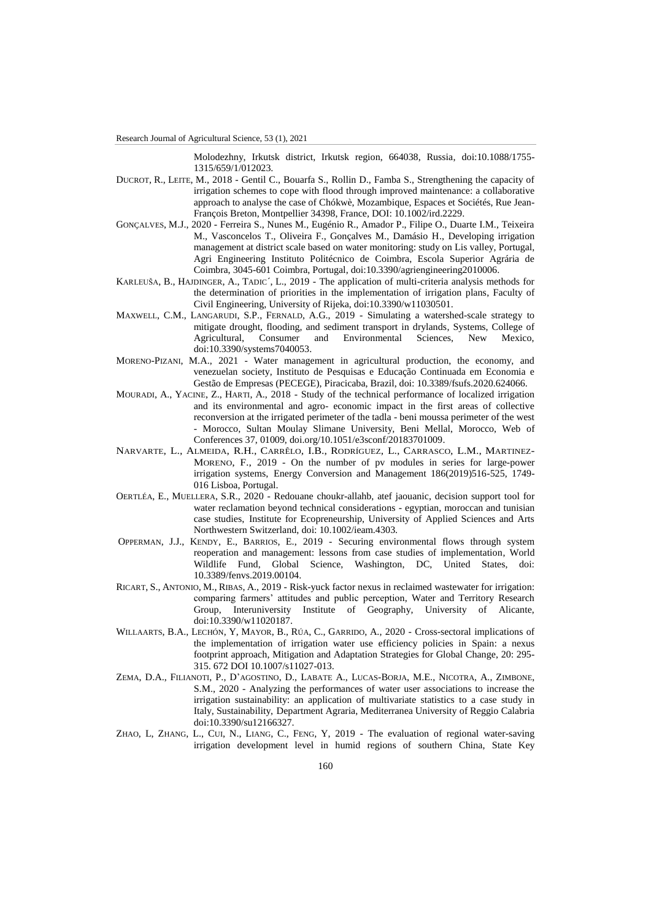Molodezhny, Irkutsk district, Irkutsk region, 664038, Russia, doi:10.1088/1755- 1315/659/1/012023.

- DUCROT, R., LEITE, M., 2018 Gentil C., Bouarfa S., Rollin D., Famba S., Strengthening the capacity of irrigation schemes to cope with flood through improved maintenance: a collaborative approach to analyse the case of Chókwè, Mozambique, Espaces et Sociétés, Rue Jean-François Breton, Montpellier 34398, France, DOI: 10.1002/ird.2229.
- GONÇALVES, M.J., 2020 Ferreira S., Nunes M., Eugénio R., Amador P., Filipe O., Duarte I.M., Teixeira M., Vasconcelos T., Oliveira F., Gonçalves M., Damásio H., Developing irrigation management at district scale based on water monitoring: study on Lis valley, Portugal, Agri Engineering Instituto Politécnico de Coimbra, Escola Superior Agrária de Coimbra, 3045-601 Coimbra, Portugal, doi:10.3390/agriengineering2010006.
- KARLEUŠA, B., HAJDINGER, A., TADIC´, L., 2019 The application of multi-criteria analysis methods for the determination of priorities in the implementation of irrigation plans, Faculty of Civil Engineering, University of Rijeka, doi:10.3390/w11030501.
- MAXWELL, C.M., LANGARUDI, S.P., FERNALD, A.G., 2019 Simulating a watershed-scale strategy to mitigate drought, flooding, and sediment transport in drylands, Systems, College of Agricultural, Consumer and Environmental Sciences, New Mexico, doi:10.3390/systems7040053.
- MORENO-PIZANI, M.A., 2021 Water management in agricultural production, the economy, and venezuelan society, Instituto de Pesquisas e Educação Continuada em Economia e Gestão de Empresas (PECEGE), Piracicaba, Brazil, doi: 10.3389/fsufs.2020.624066.
- MOURADI, A., YACINE, Z., HARTI, A., 2018 Study of the technical performance of localized irrigation and its environmental and agro- economic impact in the first areas of collective reconversion at the irrigated perimeter of the tadla - beni moussa perimeter of the west - Morocco, Sultan Moulay Slimane University, Beni Mellal, Morocco, Web of Conferences 37, 01009, doi.org/10.1051/e3sconf/20183701009.
- NARVARTE, L., ALMEIDA, R.H., CARRÊLO, I.B., RODRÍGUEZ, L., CARRASCO, L.M., MARTINEZ-MORENO, F., 2019 - On the number of pv modules in series for large-power irrigation systems, Energy Conversion and Management 186(2019)516-525, 1749- 016 Lisboa, Portugal.
- OERTLÉA, E., MUELLERA, S.R., 2020 Redouane choukr-allahb, atef jaouanic, decision support tool for water reclamation beyond technical considerations - egyptian, moroccan and tunisian case studies, Institute for Ecopreneurship, University of Applied Sciences and Arts Northwestern Switzerland, doi: 10.1002/ieam.4303.
- OPPERMAN, J.J., KENDY, E., BARRIOS, E., 2019 Securing environmental flows through system reoperation and management: lessons from case studies of implementation, World Wildlife Fund, Global Science, Washington, DC, United States, doi: 10.3389/fenvs.2019.00104.
- RICART, S., ANTONIO, M., RIBAS, A., 2019 Risk-yuck factor nexus in reclaimed wastewater for irrigation: comparing farmers' attitudes and public perception, Water and Territory Research Group, Interuniversity Institute of Geography, University of Alicante, doi:10.3390/w11020187.
- WILLAARTS, B.A., LECHÓN, Y, MAYOR, B., RÚA, C., GARRIDO, A., 2020 Cross-sectoral implications of the implementation of irrigation water use efficiency policies in Spain: a nexus footprint approach, Mitigation and Adaptation Strategies for Global Change, 20: 295- 315. 672 DOI 10.1007/s11027-013.
- ZEMA, D.A., FILIANOTI, P., D'AGOSTINO, D., LABATE A., LUCAS-BORJA, M.E., NICOTRA, A., ZIMBONE, S.M., 2020 - Analyzing the performances of water user associations to increase the irrigation sustainability: an application of multivariate statistics to a case study in Italy, Sustainability, Department Agraria, Mediterranea University of Reggio Calabria doi:10.3390/su12166327.
- ZHAO, L, ZHANG, L., CUI, N., LIANG, C., FENG, Y, 2019 The evaluation of regional water-saving irrigation development level in humid regions of southern China, State Key